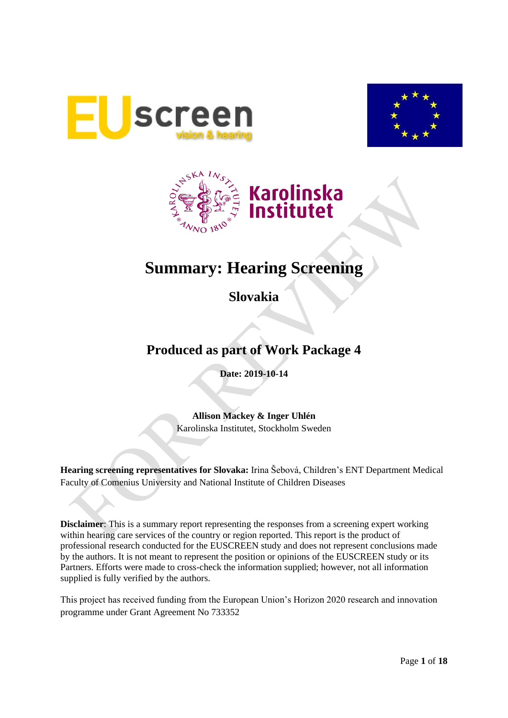





# **Summary: Hearing Screening**

**Slovakia**

# **Produced as part of Work Package 4**

**Date: 2019-10-14**

**Allison Mackey & Inger Uhlén** Karolinska Institutet, Stockholm Sweden

**Hearing screening representatives for Slovaka:** Irina Šebová, Children's ENT Department Medical Faculty of Comenius University and National Institute of Children Diseases

**Disclaimer**: This is a summary report representing the responses from a screening expert working within hearing care services of the country or region reported. This report is the product of professional research conducted for the EUSCREEN study and does not represent conclusions made by the authors. It is not meant to represent the position or opinions of the EUSCREEN study or its Partners. Efforts were made to cross-check the information supplied; however, not all information supplied is fully verified by the authors.

This project has received funding from the European Union's Horizon 2020 research and innovation programme under Grant Agreement No 733352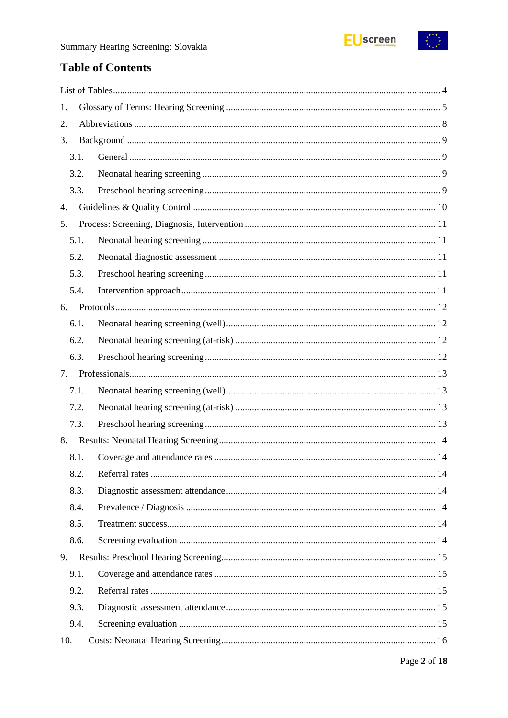

 $\begin{pmatrix} x^* & x \\ x & x \end{pmatrix}$ 

# **Table of Contents**

| 1.   |  |
|------|--|
| 2.   |  |
| 3.   |  |
| 3.1. |  |
| 3.2. |  |
| 3.3. |  |
| 4.   |  |
| 5.   |  |
| 5.1. |  |
| 5.2. |  |
| 5.3. |  |
| 5.4. |  |
| 6.   |  |
| 6.1. |  |
| 6.2. |  |
| 6.3. |  |
| 7.   |  |
| 7.1. |  |
| 7.2. |  |
| 7.3. |  |
| 8.   |  |
| 8.1. |  |
| 8.2. |  |
| 8.3. |  |
| 8.4. |  |
| 8.5. |  |
| 8.6. |  |
| 9.   |  |
| 9.1. |  |
| 9.2. |  |
| 9.3. |  |
| 9.4. |  |
| 10.  |  |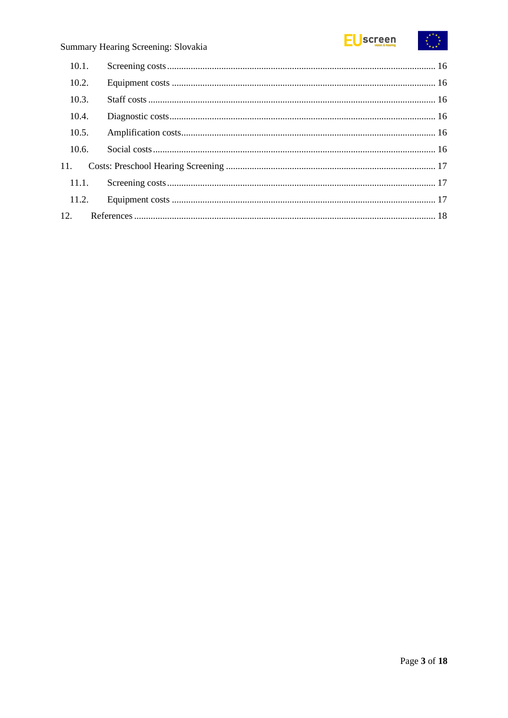

| 10.1. |  |
|-------|--|
| 10.2. |  |
| 10.3. |  |
| 10.4. |  |
| 10.5. |  |
| 10.6. |  |
| 11.   |  |
| 11.1. |  |
| 11.2. |  |
|       |  |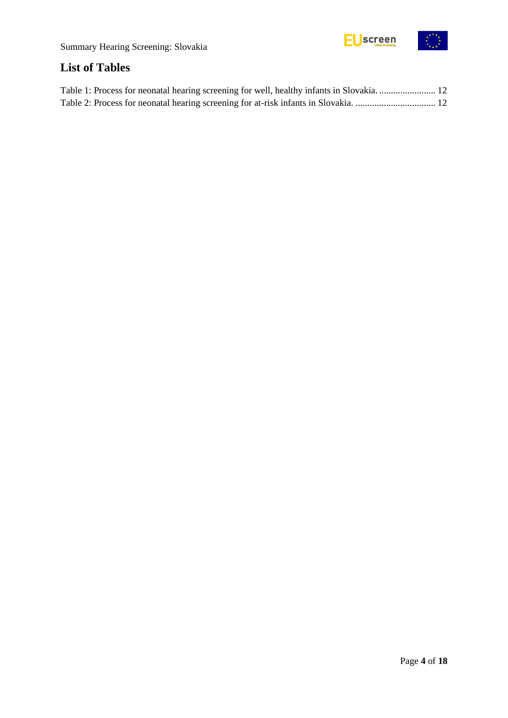

# <span id="page-3-0"></span>**List of Tables**

| Table 1: Process for neonatal hearing screening for well, healthy infants in Slovakia 12 |  |
|------------------------------------------------------------------------------------------|--|
|                                                                                          |  |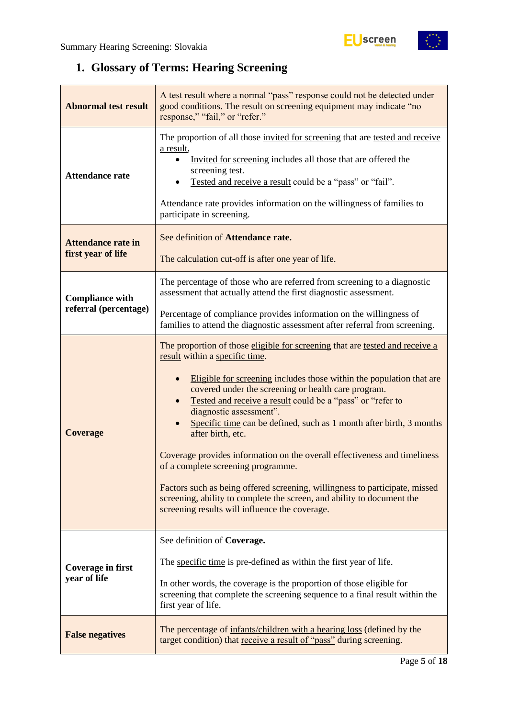# <span id="page-4-0"></span>**1. Glossary of Terms: Hearing Screening**

| <b>Abnormal test result</b>                     | A test result where a normal "pass" response could not be detected under<br>good conditions. The result on screening equipment may indicate "no<br>response," "fail," or "refer."                                                                                                                                                                                                                                                                                                                                                                                                                                                                                                                                                                                |  |  |
|-------------------------------------------------|------------------------------------------------------------------------------------------------------------------------------------------------------------------------------------------------------------------------------------------------------------------------------------------------------------------------------------------------------------------------------------------------------------------------------------------------------------------------------------------------------------------------------------------------------------------------------------------------------------------------------------------------------------------------------------------------------------------------------------------------------------------|--|--|
| <b>Attendance rate</b>                          | The proportion of all those invited for screening that are tested and receive<br>a result,<br>Invited for screening includes all those that are offered the<br>screening test.<br>Tested and receive a result could be a "pass" or "fail".<br>Attendance rate provides information on the willingness of families to<br>participate in screening.                                                                                                                                                                                                                                                                                                                                                                                                                |  |  |
| <b>Attendance rate in</b><br>first year of life | See definition of Attendance rate.<br>The calculation cut-off is after one year of life.                                                                                                                                                                                                                                                                                                                                                                                                                                                                                                                                                                                                                                                                         |  |  |
| <b>Compliance with</b>                          | The percentage of those who are referred from screening to a diagnostic<br>assessment that actually attend the first diagnostic assessment.                                                                                                                                                                                                                                                                                                                                                                                                                                                                                                                                                                                                                      |  |  |
| referral (percentage)                           | Percentage of compliance provides information on the willingness of<br>families to attend the diagnostic assessment after referral from screening.                                                                                                                                                                                                                                                                                                                                                                                                                                                                                                                                                                                                               |  |  |
| <b>Coverage</b>                                 | The proportion of those eligible for screening that are tested and receive a<br>result within a specific time.<br>Eligible for screening includes those within the population that are<br>covered under the screening or health care program.<br>Tested and receive a result could be a "pass" or "refer to<br>diagnostic assessment".<br>Specific time can be defined, such as 1 month after birth, 3 months<br>after birth, etc.<br>Coverage provides information on the overall effectiveness and timeliness<br>of a complete screening programme.<br>Factors such as being offered screening, willingness to participate, missed<br>screening, ability to complete the screen, and ability to document the<br>screening results will influence the coverage. |  |  |
| <b>Coverage in first</b><br>year of life        | See definition of Coverage.<br>The specific time is pre-defined as within the first year of life.<br>In other words, the coverage is the proportion of those eligible for<br>screening that complete the screening sequence to a final result within the<br>first year of life.                                                                                                                                                                                                                                                                                                                                                                                                                                                                                  |  |  |
| <b>False negatives</b>                          | The percentage of infants/children with a hearing loss (defined by the<br>target condition) that receive a result of "pass" during screening.                                                                                                                                                                                                                                                                                                                                                                                                                                                                                                                                                                                                                    |  |  |

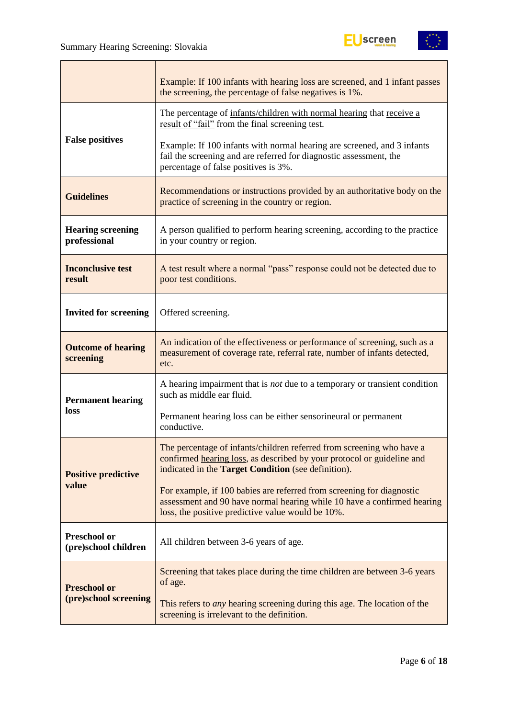T



|                                                                                                                                                                                                         | Example: If 100 infants with hearing loss are screened, and 1 infant passes<br>the screening, the percentage of false negatives is 1%.                                                                 |  |  |
|---------------------------------------------------------------------------------------------------------------------------------------------------------------------------------------------------------|--------------------------------------------------------------------------------------------------------------------------------------------------------------------------------------------------------|--|--|
|                                                                                                                                                                                                         | The percentage of infants/children with normal hearing that receive a<br>result of "fail" from the final screening test.                                                                               |  |  |
| <b>False positives</b>                                                                                                                                                                                  | Example: If 100 infants with normal hearing are screened, and 3 infants<br>fail the screening and are referred for diagnostic assessment, the<br>percentage of false positives is 3%.                  |  |  |
| <b>Guidelines</b>                                                                                                                                                                                       | Recommendations or instructions provided by an authoritative body on the<br>practice of screening in the country or region.                                                                            |  |  |
| <b>Hearing screening</b><br>professional                                                                                                                                                                | A person qualified to perform hearing screening, according to the practice<br>in your country or region.                                                                                               |  |  |
| <b>Inconclusive test</b><br>A test result where a normal "pass" response could not be detected due to<br>result<br>poor test conditions.                                                                |                                                                                                                                                                                                        |  |  |
| <b>Invited for screening</b>                                                                                                                                                                            | Offered screening.                                                                                                                                                                                     |  |  |
| An indication of the effectiveness or performance of screening, such as a<br><b>Outcome of hearing</b><br>measurement of coverage rate, referral rate, number of infants detected,<br>screening<br>etc. |                                                                                                                                                                                                        |  |  |
| <b>Permanent hearing</b>                                                                                                                                                                                | A hearing impairment that is <i>not</i> due to a temporary or transient condition<br>such as middle ear fluid.                                                                                         |  |  |
| loss                                                                                                                                                                                                    | Permanent hearing loss can be either sensorineural or permanent<br>conductive.                                                                                                                         |  |  |
| <b>Positive predictive</b>                                                                                                                                                                              | The percentage of infants/children referred from screening who have a<br>confirmed hearing loss, as described by your protocol or guideline and<br>indicated in the Target Condition (see definition). |  |  |
| value                                                                                                                                                                                                   | For example, if 100 babies are referred from screening for diagnostic<br>assessment and 90 have normal hearing while 10 have a confirmed hearing<br>loss, the positive predictive value would be 10%.  |  |  |
| <b>Preschool or</b><br>(pre)school children                                                                                                                                                             | All children between 3-6 years of age.                                                                                                                                                                 |  |  |
| <b>Preschool or</b>                                                                                                                                                                                     | Screening that takes place during the time children are between 3-6 years<br>of age.                                                                                                                   |  |  |
| (pre)school screening                                                                                                                                                                                   | This refers to <i>any</i> hearing screening during this age. The location of the<br>screening is irrelevant to the definition.                                                                         |  |  |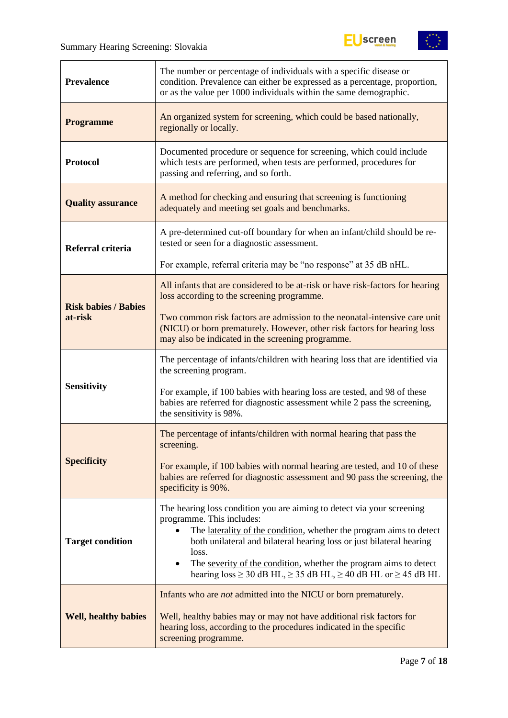



| <b>Prevalence</b>           | The number or percentage of individuals with a specific disease or<br>condition. Prevalence can either be expressed as a percentage, proportion,<br>or as the value per 1000 individuals within the same demographic.                                                                                                                                                                                                              |  |  |
|-----------------------------|------------------------------------------------------------------------------------------------------------------------------------------------------------------------------------------------------------------------------------------------------------------------------------------------------------------------------------------------------------------------------------------------------------------------------------|--|--|
| <b>Programme</b>            | An organized system for screening, which could be based nationally,<br>regionally or locally.                                                                                                                                                                                                                                                                                                                                      |  |  |
| <b>Protocol</b>             | Documented procedure or sequence for screening, which could include<br>which tests are performed, when tests are performed, procedures for<br>passing and referring, and so forth.                                                                                                                                                                                                                                                 |  |  |
| <b>Quality assurance</b>    | A method for checking and ensuring that screening is functioning<br>adequately and meeting set goals and benchmarks.                                                                                                                                                                                                                                                                                                               |  |  |
| Referral criteria           | A pre-determined cut-off boundary for when an infant/child should be re-<br>tested or seen for a diagnostic assessment.                                                                                                                                                                                                                                                                                                            |  |  |
|                             | For example, referral criteria may be "no response" at 35 dB nHL.                                                                                                                                                                                                                                                                                                                                                                  |  |  |
| <b>Risk babies / Babies</b> | All infants that are considered to be at-risk or have risk-factors for hearing<br>loss according to the screening programme.                                                                                                                                                                                                                                                                                                       |  |  |
| at-risk                     | Two common risk factors are admission to the neonatal-intensive care unit<br>(NICU) or born prematurely. However, other risk factors for hearing loss<br>may also be indicated in the screening programme.                                                                                                                                                                                                                         |  |  |
|                             | The percentage of infants/children with hearing loss that are identified via<br>the screening program.                                                                                                                                                                                                                                                                                                                             |  |  |
| <b>Sensitivity</b>          | For example, if 100 babies with hearing loss are tested, and 98 of these<br>babies are referred for diagnostic assessment while 2 pass the screening,<br>the sensitivity is 98%.                                                                                                                                                                                                                                                   |  |  |
|                             | The percentage of infants/children with normal hearing that pass the<br>screening.                                                                                                                                                                                                                                                                                                                                                 |  |  |
| <b>Specificity</b>          | For example, if 100 babies with normal hearing are tested, and 10 of these<br>babies are referred for diagnostic assessment and 90 pass the screening, the<br>specificity is 90%.                                                                                                                                                                                                                                                  |  |  |
| <b>Target condition</b>     | The hearing loss condition you are aiming to detect via your screening<br>programme. This includes:<br>The laterality of the condition, whether the program aims to detect<br>both unilateral and bilateral hearing loss or just bilateral hearing<br>loss.<br>The severity of the condition, whether the program aims to detect<br>$\bullet$<br>hearing loss $\geq$ 30 dB HL, $\geq$ 35 dB HL, $\geq$ 40 dB HL or $\geq$ 45 dB HL |  |  |
| <b>Well, healthy babies</b> | Infants who are <i>not</i> admitted into the NICU or born prematurely.<br>Well, healthy babies may or may not have additional risk factors for<br>hearing loss, according to the procedures indicated in the specific<br>screening programme.                                                                                                                                                                                      |  |  |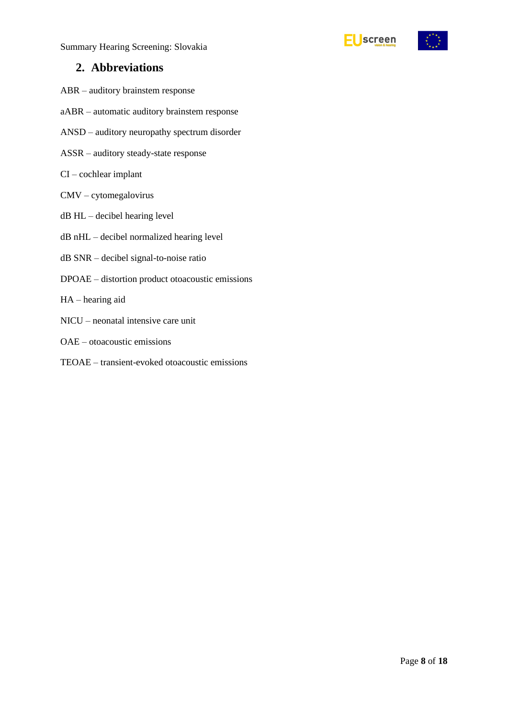



### <span id="page-7-0"></span>**2. Abbreviations**

- ABR auditory brainstem response
- aABR automatic auditory brainstem response
- ANSD auditory neuropathy spectrum disorder
- ASSR auditory steady-state response
- CI cochlear implant
- CMV cytomegalovirus
- dB HL decibel hearing level
- dB nHL decibel normalized hearing level
- dB SNR decibel signal-to-noise ratio
- DPOAE distortion product otoacoustic emissions
- HA hearing aid
- NICU neonatal intensive care unit
- OAE otoacoustic emissions
- TEOAE transient-evoked otoacoustic emissions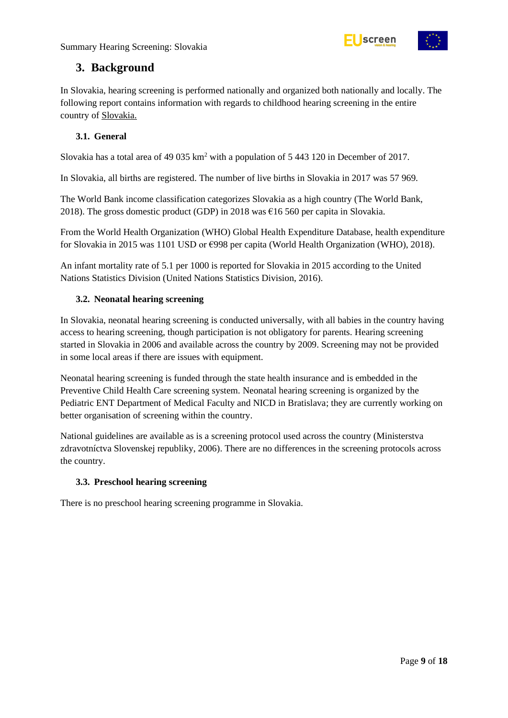



### <span id="page-8-0"></span>**3. Background**

In Slovakia, hearing screening is performed nationally and organized both nationally and locally. The following report contains information with regards to childhood hearing screening in the entire country of Slovakia.

#### <span id="page-8-1"></span>**3.1. General**

Slovakia has a total area of 49 035 km<sup>2</sup> with a population of 5 443 120 in December of 2017.

In Slovakia, all births are registered. The number of live births in Slovakia in 2017 was 57 969.

The World Bank income classification categorizes Slovakia as a high country (The World Bank, 2018). The gross domestic product (GDP) in 2018 was  $\epsilon$ 16 560 per capita in Slovakia.

From the World Health Organization (WHO) Global Health Expenditure Database, health expenditure for Slovakia in 2015 was 1101 USD or €998 per capita (World Health Organization (WHO), 2018).

An infant mortality rate of 5.1 per 1000 is reported for Slovakia in 2015 according to the United Nations Statistics Division (United Nations Statistics Division, 2016).

#### <span id="page-8-2"></span>**3.2. Neonatal hearing screening**

In Slovakia, neonatal hearing screening is conducted universally, with all babies in the country having access to hearing screening, though participation is not obligatory for parents. Hearing screening started in Slovakia in 2006 and available across the country by 2009. Screening may not be provided in some local areas if there are issues with equipment.

Neonatal hearing screening is funded through the state health insurance and is embedded in the Preventive Child Health Care screening system. Neonatal hearing screening is organized by the Pediatric ENT Department of Medical Faculty and NICD in Bratislava; they are currently working on better organisation of screening within the country.

National guidelines are available as is a screening protocol used across the country (Ministerstva zdravotníctva Slovenskej republiky, 2006). There are no differences in the screening protocols across the country.

#### <span id="page-8-3"></span>**3.3. Preschool hearing screening**

There is no preschool hearing screening programme in Slovakia.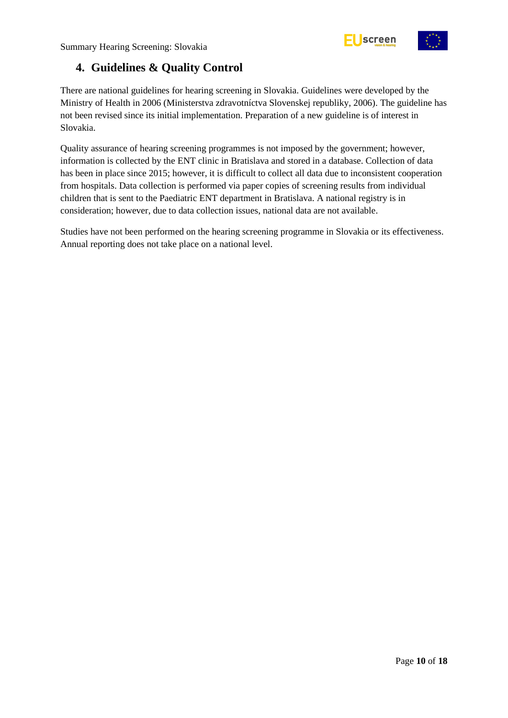



# <span id="page-9-0"></span>**4. Guidelines & Quality Control**

There are national guidelines for hearing screening in Slovakia. Guidelines were developed by the Ministry of Health in 2006 (Ministerstva zdravotníctva Slovenskej republiky, 2006). The guideline has not been revised since its initial implementation. Preparation of a new guideline is of interest in Slovakia.

Quality assurance of hearing screening programmes is not imposed by the government; however, information is collected by the ENT clinic in Bratislava and stored in a database. Collection of data has been in place since 2015; however, it is difficult to collect all data due to inconsistent cooperation from hospitals. Data collection is performed via paper copies of screening results from individual children that is sent to the Paediatric ENT department in Bratislava. A national registry is in consideration; however, due to data collection issues, national data are not available.

Studies have not been performed on the hearing screening programme in Slovakia or its effectiveness. Annual reporting does not take place on a national level.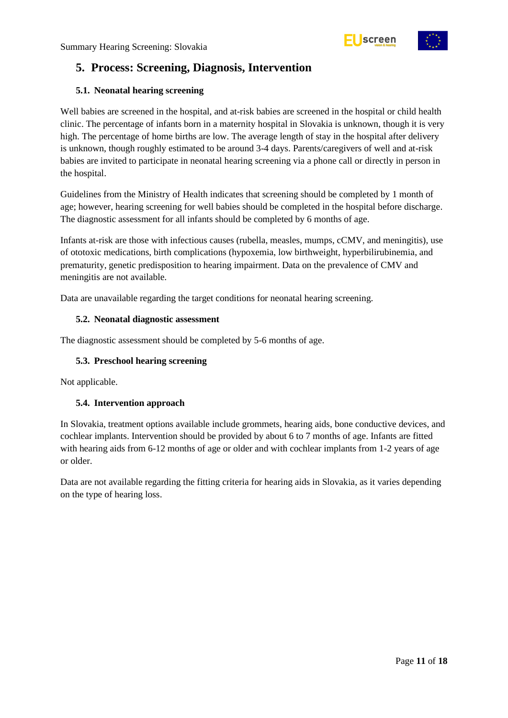# <span id="page-10-0"></span>**5. Process: Screening, Diagnosis, Intervention**

#### <span id="page-10-1"></span>**5.1. Neonatal hearing screening**

Well babies are screened in the hospital, and at-risk babies are screened in the hospital or child health clinic. The percentage of infants born in a maternity hospital in Slovakia is unknown, though it is very high. The percentage of home births are low. The average length of stay in the hospital after delivery is unknown, though roughly estimated to be around 3-4 days. Parents/caregivers of well and at-risk babies are invited to participate in neonatal hearing screening via a phone call or directly in person in the hospital.

Guidelines from the Ministry of Health indicates that screening should be completed by 1 month of age; however, hearing screening for well babies should be completed in the hospital before discharge. The diagnostic assessment for all infants should be completed by 6 months of age.

Infants at-risk are those with infectious causes (rubella, measles, mumps, cCMV, and meningitis), use of ototoxic medications, birth complications (hypoxemia, low birthweight, hyperbilirubinemia, and prematurity, genetic predisposition to hearing impairment. Data on the prevalence of CMV and meningitis are not available.

Data are unavailable regarding the target conditions for neonatal hearing screening.

#### <span id="page-10-2"></span>**5.2. Neonatal diagnostic assessment**

The diagnostic assessment should be completed by 5-6 months of age.

#### <span id="page-10-3"></span>**5.3. Preschool hearing screening**

Not applicable.

#### <span id="page-10-4"></span>**5.4. Intervention approach**

In Slovakia, treatment options available include grommets, hearing aids, bone conductive devices, and cochlear implants. Intervention should be provided by about 6 to 7 months of age. Infants are fitted with hearing aids from 6-12 months of age or older and with cochlear implants from 1-2 years of age or older.

Data are not available regarding the fitting criteria for hearing aids in Slovakia, as it varies depending on the type of hearing loss.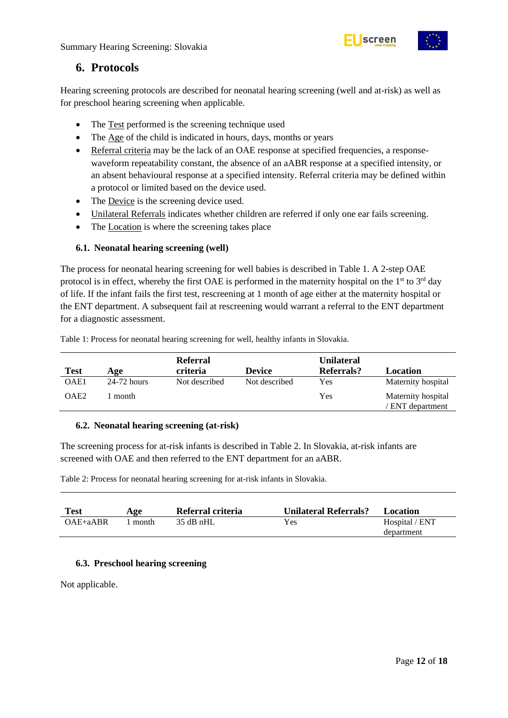



### <span id="page-11-0"></span>**6. Protocols**

Hearing screening protocols are described for neonatal hearing screening (well and at-risk) as well as for preschool hearing screening when applicable.

- The Test performed is the screening technique used
- The Age of the child is indicated in hours, days, months or years
- Referral criteria may be the lack of an OAE response at specified frequencies, a responsewaveform repeatability constant, the absence of an aABR response at a specified intensity, or an absent behavioural response at a specified intensity. Referral criteria may be defined within a protocol or limited based on the device used.
- The Device is the screening device used.
- Unilateral Referrals indicates whether children are referred if only one ear fails screening.
- The Location is where the screening takes place

#### <span id="page-11-1"></span>**6.1. Neonatal hearing screening (well)**

The process for neonatal hearing screening for well babies is described in Table 1. A 2-step OAE protocol is in effect, whereby the first OAE is performed in the maternity hospital on the  $1<sup>st</sup>$  to  $3<sup>rd</sup>$  day of life. If the infant fails the first test, rescreening at 1 month of age either at the maternity hospital or the ENT department. A subsequent fail at rescreening would warrant a referral to the ENT department for a diagnostic assessment.

OAE2 1 month Yes Maternity hospital

| <b>Test</b> | Age           | <b>Referral</b><br>criteria | <b>Device</b> | <b>Unilateral</b><br><b>Referrals?</b> | Location           |  |
|-------------|---------------|-----------------------------|---------------|----------------------------------------|--------------------|--|
| OAE1        | $24-72$ hours | Not described               | Not described | Yes                                    | Maternity hospital |  |

<span id="page-11-4"></span>Table 1: Process for neonatal hearing screening for well, healthy infants in Slovakia.

<span id="page-11-2"></span>

|  |  |  | 6.2. Neonatal hearing screening (at-risk) |  |
|--|--|--|-------------------------------------------|--|
|--|--|--|-------------------------------------------|--|

The screening process for at-risk infants is described in Table 2. In Slovakia, at-risk infants are screened with OAE and then referred to the ENT department for an aABR.

<span id="page-11-5"></span>Table 2: Process for neonatal hearing screening for at-risk infants in Slovakia.

| <b>Test</b>  | Age     | Referral criteria | <b>Unilateral Referrals?</b> | Location       |
|--------------|---------|-------------------|------------------------------|----------------|
| $OAE + aABR$ | ∣ month | $-35$ dB nHL      | Yes                          | Hospital / ENT |
|              |         |                   |                              | department     |

#### <span id="page-11-3"></span>**6.3. Preschool hearing screening**

Not applicable.

/ ENT department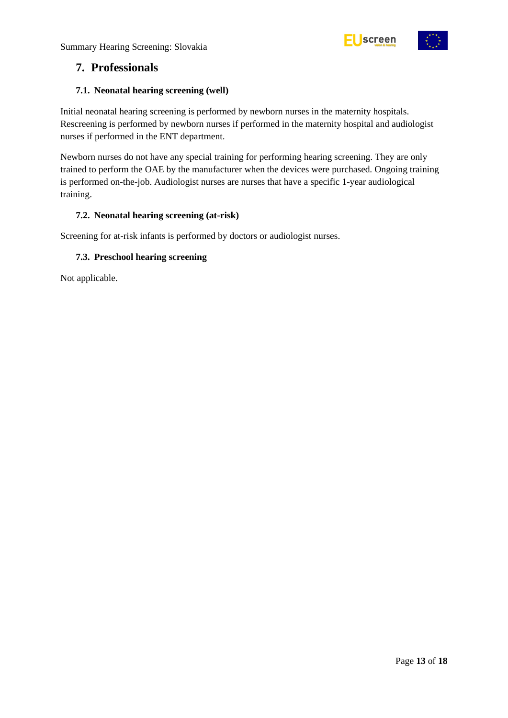



### <span id="page-12-0"></span>**7. Professionals**

#### <span id="page-12-1"></span>**7.1. Neonatal hearing screening (well)**

Initial neonatal hearing screening is performed by newborn nurses in the maternity hospitals. Rescreening is performed by newborn nurses if performed in the maternity hospital and audiologist nurses if performed in the ENT department.

Newborn nurses do not have any special training for performing hearing screening. They are only trained to perform the OAE by the manufacturer when the devices were purchased. Ongoing training is performed on-the-job. Audiologist nurses are nurses that have a specific 1-year audiological training.

#### <span id="page-12-2"></span>**7.2. Neonatal hearing screening (at-risk)**

Screening for at-risk infants is performed by doctors or audiologist nurses.

#### <span id="page-12-3"></span>**7.3. Preschool hearing screening**

Not applicable.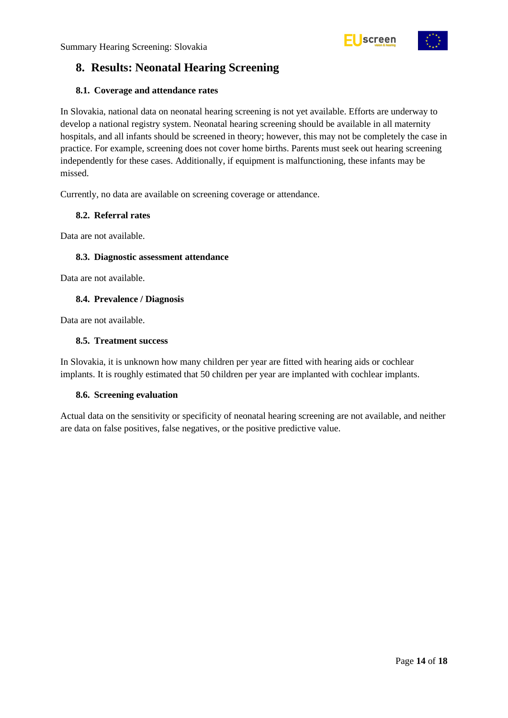

# <span id="page-13-0"></span>**8. Results: Neonatal Hearing Screening**

#### <span id="page-13-1"></span>**8.1. Coverage and attendance rates**

In Slovakia, national data on neonatal hearing screening is not yet available. Efforts are underway to develop a national registry system. Neonatal hearing screening should be available in all maternity hospitals, and all infants should be screened in theory; however, this may not be completely the case in practice. For example, screening does not cover home births. Parents must seek out hearing screening independently for these cases. Additionally, if equipment is malfunctioning, these infants may be missed.

Currently, no data are available on screening coverage or attendance.

#### <span id="page-13-2"></span>**8.2. Referral rates**

Data are not available.

#### <span id="page-13-3"></span>**8.3. Diagnostic assessment attendance**

Data are not available.

#### <span id="page-13-4"></span>**8.4. Prevalence / Diagnosis**

Data are not available.

#### <span id="page-13-5"></span>**8.5. Treatment success**

In Slovakia, it is unknown how many children per year are fitted with hearing aids or cochlear implants. It is roughly estimated that 50 children per year are implanted with cochlear implants.

#### <span id="page-13-6"></span>**8.6. Screening evaluation**

Actual data on the sensitivity or specificity of neonatal hearing screening are not available, and neither are data on false positives, false negatives, or the positive predictive value.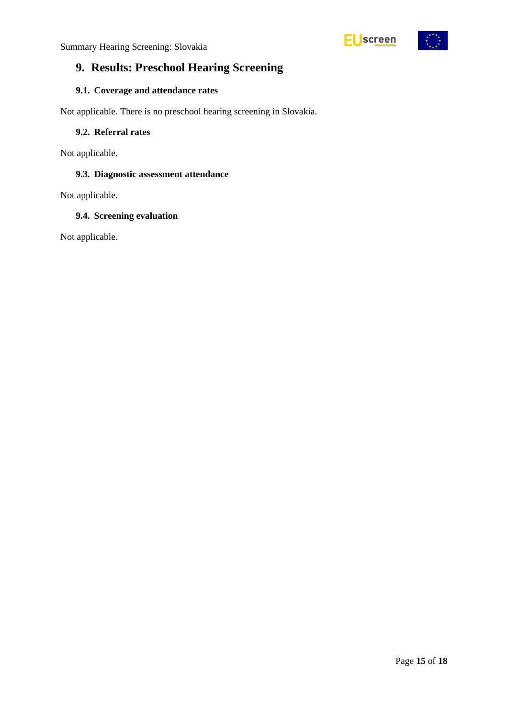

# <span id="page-14-0"></span>**9. Results: Preschool Hearing Screening**

### <span id="page-14-1"></span>**9.1. Coverage and attendance rates**

Not applicable. There is no preschool hearing screening in Slovakia.

#### <span id="page-14-2"></span>**9.2. Referral rates**

Not applicable.

#### <span id="page-14-3"></span>**9.3. Diagnostic assessment attendance**

Not applicable.

#### <span id="page-14-4"></span>**9.4. Screening evaluation**

Not applicable.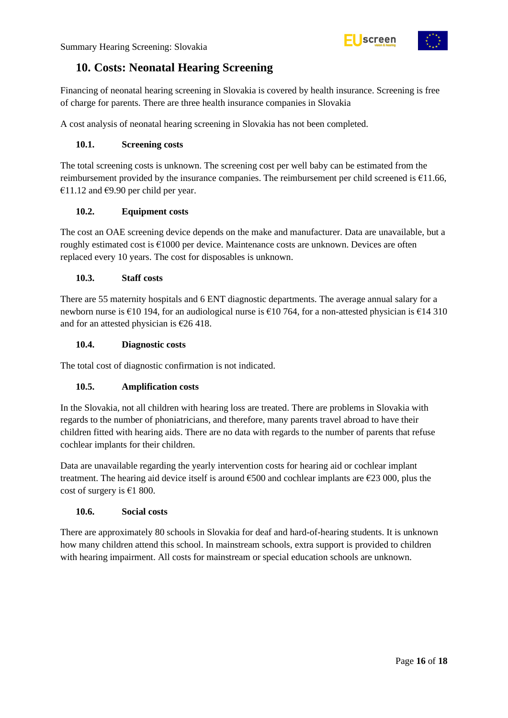



### <span id="page-15-0"></span>**10. Costs: Neonatal Hearing Screening**

Financing of neonatal hearing screening in Slovakia is covered by health insurance. Screening is free of charge for parents. There are three health insurance companies in Slovakia

A cost analysis of neonatal hearing screening in Slovakia has not been completed.

#### <span id="page-15-1"></span>**10.1. Screening costs**

The total screening costs is unknown. The screening cost per well baby can be estimated from the reimbursement provided by the insurance companies. The reimbursement per child screened is  $£11.66$ , €11.12 and €9.90 per child per year.

#### <span id="page-15-2"></span>**10.2. Equipment costs**

The cost an OAE screening device depends on the make and manufacturer. Data are unavailable, but a roughly estimated cost is €1000 per device. Maintenance costs are unknown. Devices are often replaced every 10 years. The cost for disposables is unknown.

#### <span id="page-15-3"></span>**10.3. Staff costs**

There are 55 maternity hospitals and 6 ENT diagnostic departments. The average annual salary for a newborn nurse is €10 194, for an audiological nurse is €10 764, for a non-attested physician is €14 310 and for an attested physician is  $\epsilon$ 26 418.

#### <span id="page-15-4"></span>**10.4. Diagnostic costs**

The total cost of diagnostic confirmation is not indicated.

#### <span id="page-15-5"></span>**10.5. Amplification costs**

In the Slovakia, not all children with hearing loss are treated. There are problems in Slovakia with regards to the number of phoniatricians, and therefore, many parents travel abroad to have their children fitted with hearing aids. There are no data with regards to the number of parents that refuse cochlear implants for their children.

Data are unavailable regarding the yearly intervention costs for hearing aid or cochlear implant treatment. The hearing aid device itself is around  $\epsilon$ 500 and cochlear implants are  $\epsilon$ 23 000, plus the cost of surgery is  $€1800$ .

#### <span id="page-15-6"></span>**10.6. Social costs**

There are approximately 80 schools in Slovakia for deaf and hard-of-hearing students. It is unknown how many children attend this school. In mainstream schools, extra support is provided to children with hearing impairment. All costs for mainstream or special education schools are unknown.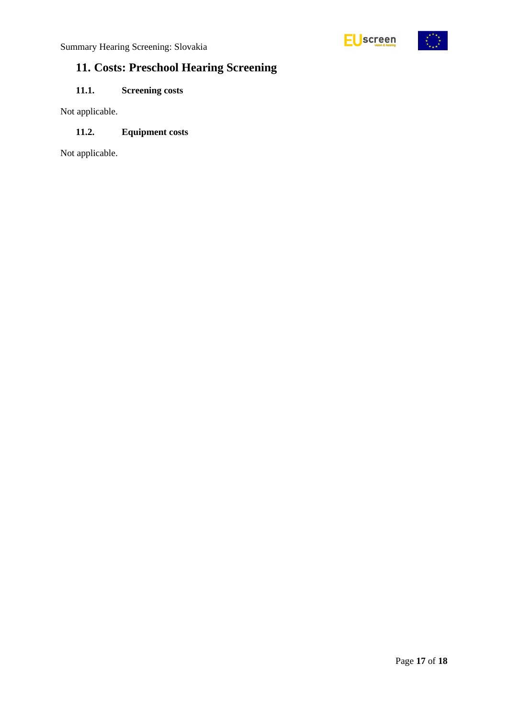



# <span id="page-16-0"></span>**11. Costs: Preschool Hearing Screening**

### <span id="page-16-1"></span>**11.1. Screening costs**

Not applicable.

#### <span id="page-16-2"></span>**11.2. Equipment costs**

Not applicable.